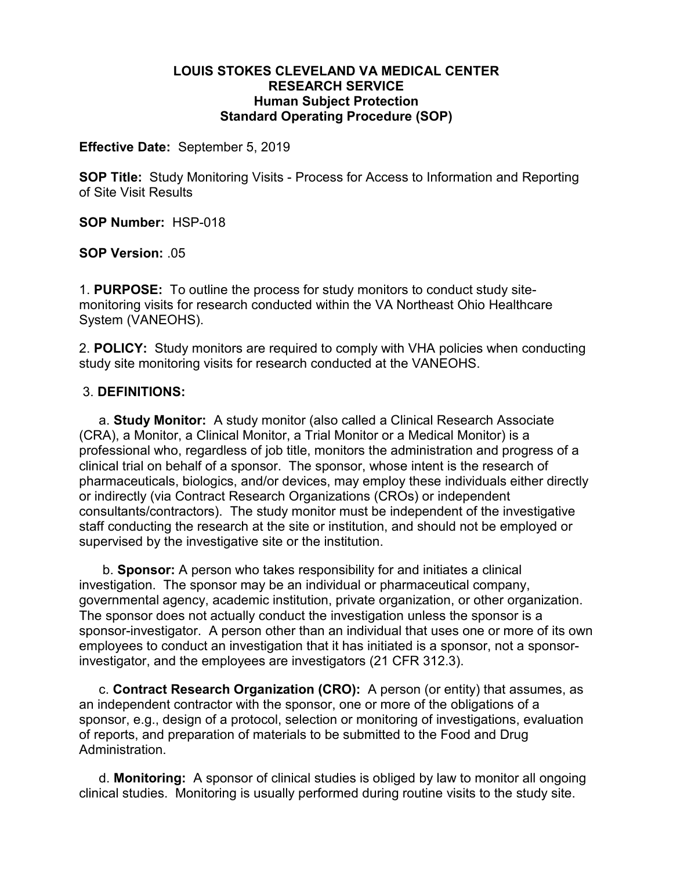#### **LOUIS STOKES CLEVELAND VA MEDICAL CENTER RESEARCH SERVICE Human Subject Protection Standard Operating Procedure (SOP)**

**Effective Date:** September 5, 2019

**SOP Title:** Study Monitoring Visits - Process for Access to Information and Reporting of Site Visit Results

**SOP Number:** HSP-018

**SOP Version:** .05

1. **PURPOSE:** To outline the process for study monitors to conduct study sitemonitoring visits for research conducted within the VA Northeast Ohio Healthcare System (VANEOHS).

2. **POLICY:** Study monitors are required to comply with VHA policies when conducting study site monitoring visits for research conducted at the VANEOHS.

#### 3. **DEFINITIONS:**

a. **Study Monitor:** A study monitor (also called a Clinical Research Associate (CRA), a Monitor, a Clinical Monitor, a Trial Monitor or a Medical Monitor) is a professional who, regardless of job title, monitors the administration and progress of a clinical trial on behalf of a sponsor. The sponsor, whose intent is the research of pharmaceuticals, biologics, and/or devices, may employ these individuals either directly or indirectly (via Contract Research Organizations (CROs) or independent consultants/contractors). The study monitor must be independent of the investigative staff conducting the research at the site or institution, and should not be employed or supervised by the investigative site or the institution.

b. **Sponsor:** A person who takes responsibility for and initiates a clinical investigation. The sponsor may be an individual or pharmaceutical company, governmental agency, academic institution, private organization, or other organization. The sponsor does not actually conduct the investigation unless the sponsor is a sponsor-investigator. A person other than an individual that uses one or more of its own employees to conduct an investigation that it has initiated is a sponsor, not a sponsorinvestigator, and the employees are investigators (21 CFR 312.3).

c. **Contract Research Organization (CRO):** A person (or entity) that assumes, as an independent contractor with the sponsor, one or more of the obligations of a sponsor, e.g., design of a protocol, selection or monitoring of investigations, evaluation of reports, and preparation of materials to be submitted to the Food and Drug Administration.

 d. **Monitoring:** A sponsor of clinical studies is obliged by law to monitor all ongoing clinical studies. Monitoring is usually performed during routine visits to the study site.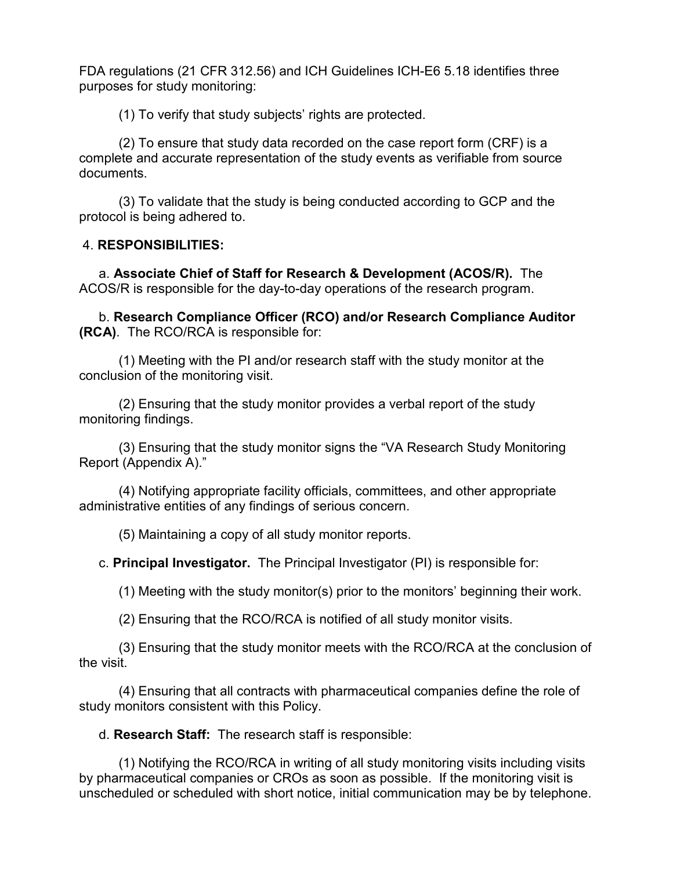FDA regulations (21 CFR 312.56) and ICH Guidelines ICH-E6 5.18 identifies three purposes for study monitoring:

(1) To verify that study subjects' rights are protected.

(2) To ensure that study data recorded on the case report form (CRF) is a complete and accurate representation of the study events as verifiable from source documents.

(3) To validate that the study is being conducted according to GCP and the protocol is being adhered to.

### 4. **RESPONSIBILITIES:**

 a. **Associate Chief of Staff for Research & Development (ACOS/R).** The ACOS/R is responsible for the day-to-day operations of the research program.

b. **Research Compliance Officer (RCO) and/or Research Compliance Auditor (RCA)**. The RCO/RCA is responsible for:

 (1) Meeting with the PI and/or research staff with the study monitor at the conclusion of the monitoring visit.

 (2) Ensuring that the study monitor provides a verbal report of the study monitoring findings.

 (3) Ensuring that the study monitor signs the "VA Research Study Monitoring Report (Appendix A)."

 (4) Notifying appropriate facility officials, committees, and other appropriate administrative entities of any findings of serious concern.

(5) Maintaining a copy of all study monitor reports.

c. **Principal Investigator.** The Principal Investigator (PI) is responsible for:

(1) Meeting with the study monitor(s) prior to the monitors' beginning their work.

(2) Ensuring that the RCO/RCA is notified of all study monitor visits.

(3) Ensuring that the study monitor meets with the RCO/RCA at the conclusion of the visit.

 (4) Ensuring that all contracts with pharmaceutical companies define the role of study monitors consistent with this Policy.

d. **Research Staff:** The research staff is responsible:

(1) Notifying the RCO/RCA in writing of all study monitoring visits including visits by pharmaceutical companies or CROs as soon as possible. If the monitoring visit is unscheduled or scheduled with short notice, initial communication may be by telephone.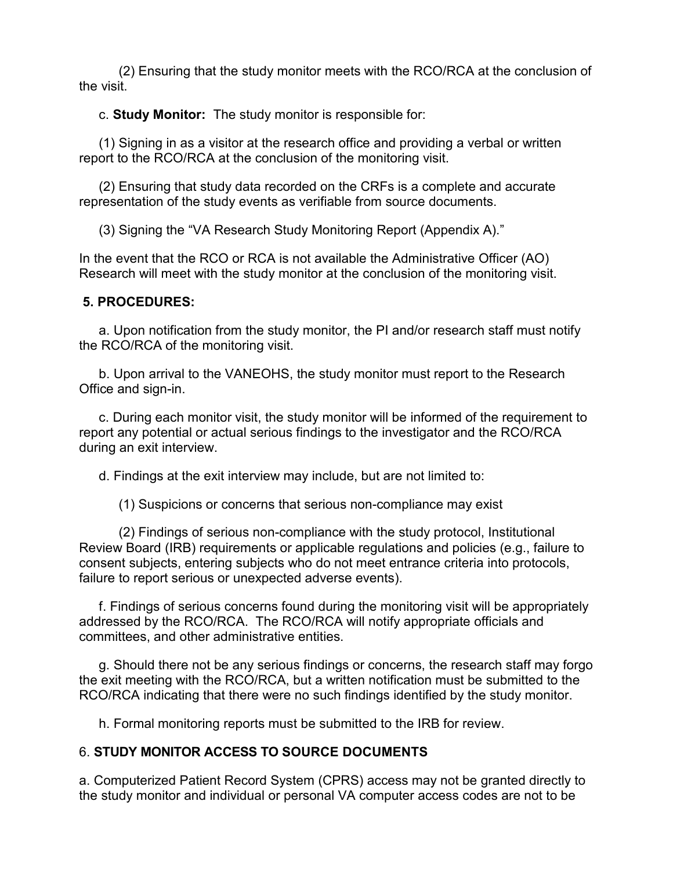(2) Ensuring that the study monitor meets with the RCO/RCA at the conclusion of the visit.

c. **Study Monitor:** The study monitor is responsible for:

(1) Signing in as a visitor at the research office and providing a verbal or written report to the RCO/RCA at the conclusion of the monitoring visit.

(2) Ensuring that study data recorded on the CRFs is a complete and accurate representation of the study events as verifiable from source documents.

(3) Signing the "VA Research Study Monitoring Report (Appendix A)."

In the event that the RCO or RCA is not available the Administrative Officer (AO) Research will meet with the study monitor at the conclusion of the monitoring visit.

#### **5. PROCEDURES:**

a. Upon notification from the study monitor, the PI and/or research staff must notify the RCO/RCA of the monitoring visit.

b. Upon arrival to the VANEOHS, the study monitor must report to the Research Office and sign-in.

c. During each monitor visit, the study monitor will be informed of the requirement to report any potential or actual serious findings to the investigator and the RCO/RCA during an exit interview.

d. Findings at the exit interview may include, but are not limited to:

(1) Suspicions or concerns that serious non-compliance may exist

(2) Findings of serious non-compliance with the study protocol, Institutional Review Board (IRB) requirements or applicable regulations and policies (e.g., failure to consent subjects, entering subjects who do not meet entrance criteria into protocols, failure to report serious or unexpected adverse events).

f. Findings of serious concerns found during the monitoring visit will be appropriately addressed by the RCO/RCA. The RCO/RCA will notify appropriate officials and committees, and other administrative entities.

g. Should there not be any serious findings or concerns, the research staff may forgo the exit meeting with the RCO/RCA, but a written notification must be submitted to the RCO/RCA indicating that there were no such findings identified by the study monitor.

h. Formal monitoring reports must be submitted to the IRB for review.

## 6. **STUDY MONITOR ACCESS TO SOURCE DOCUMENTS**

a. Computerized Patient Record System (CPRS) access may not be granted directly to the study monitor and individual or personal VA computer access codes are not to be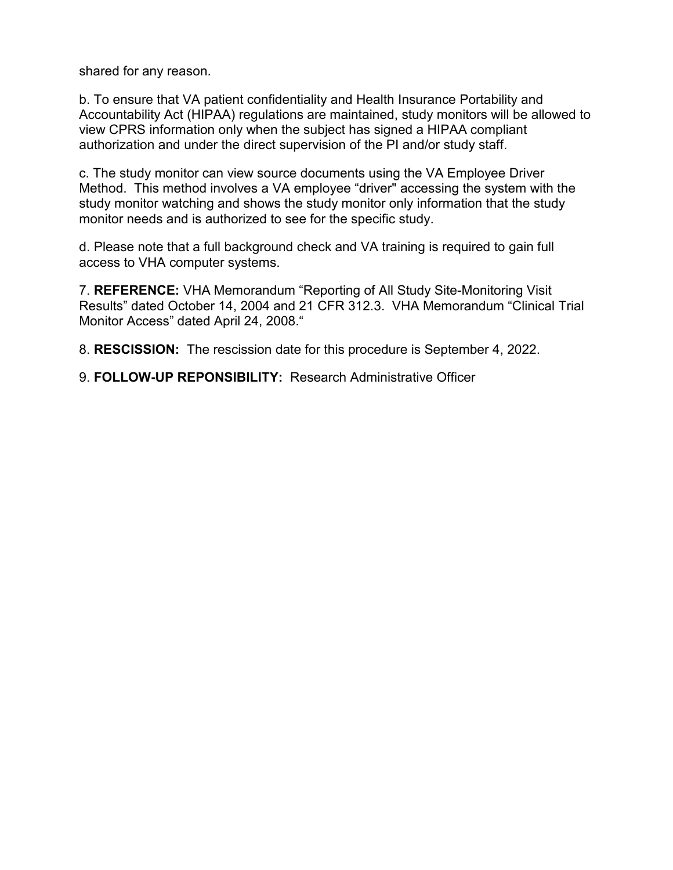shared for any reason.

b. To ensure that VA patient confidentiality and Health Insurance Portability and Accountability Act (HIPAA) regulations are maintained, study monitors will be allowed to view CPRS information only when the subject has signed a HIPAA compliant authorization and under the direct supervision of the PI and/or study staff.

c. The study monitor can view source documents using the VA Employee Driver Method. This method involves a VA employee "driver" accessing the system with the study monitor watching and shows the study monitor only information that the study monitor needs and is authorized to see for the specific study.

d. Please note that a full background check and VA training is required to gain full access to VHA computer systems.

7. **REFERENCE:** VHA Memorandum "Reporting of All Study Site-Monitoring Visit Results" dated October 14, 2004 and 21 CFR 312.3. VHA Memorandum "Clinical Trial Monitor Access" dated April 24, 2008."

8. **RESCISSION:** The rescission date for this procedure is September 4, 2022.

9. **FOLLOW-UP REPONSIBILITY:** Research Administrative Officer